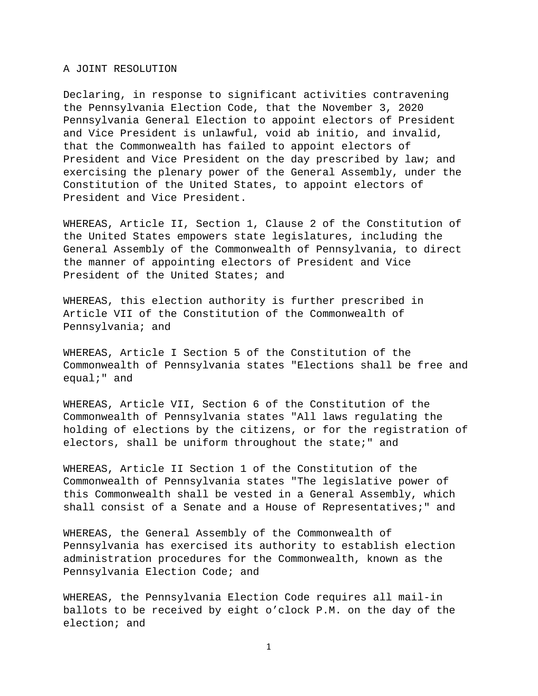A JOINT RESOLUTION

Declaring, in response to significant activities contravening the Pennsylvania Election Code, that the November 3, 2020 Pennsylvania General Election to appoint electors of President and Vice President is unlawful, void ab initio, and invalid, that the Commonwealth has failed to appoint electors of President and Vice President on the day prescribed by law; and exercising the plenary power of the General Assembly, under the Constitution of the United States, to appoint electors of President and Vice President.

WHEREAS, Article II, Section 1, Clause 2 of the Constitution of the United States empowers state legislatures, including the General Assembly of the Commonwealth of Pennsylvania, to direct the manner of appointing electors of President and Vice President of the United States; and

WHEREAS, this election authority is further prescribed in Article VII of the Constitution of the Commonwealth of Pennsylvania; and

WHEREAS, Article I Section 5 of the Constitution of the Commonwealth of Pennsylvania states "Elections shall be free and equal;" and

WHEREAS, Article VII, Section 6 of the Constitution of the Commonwealth of Pennsylvania states "All laws regulating the holding of elections by the citizens, or for the registration of electors, shall be uniform throughout the state;" and

WHEREAS, Article II Section 1 of the Constitution of the Commonwealth of Pennsylvania states "The legislative power of this Commonwealth shall be vested in a General Assembly, which shall consist of a Senate and a House of Representatives;" and

WHEREAS, the General Assembly of the Commonwealth of Pennsylvania has exercised its authority to establish election administration procedures for the Commonwealth, known as the Pennsylvania Election Code; and

WHEREAS, the Pennsylvania Election Code requires all mail-in ballots to be received by eight o'clock P.M. on the day of the election; and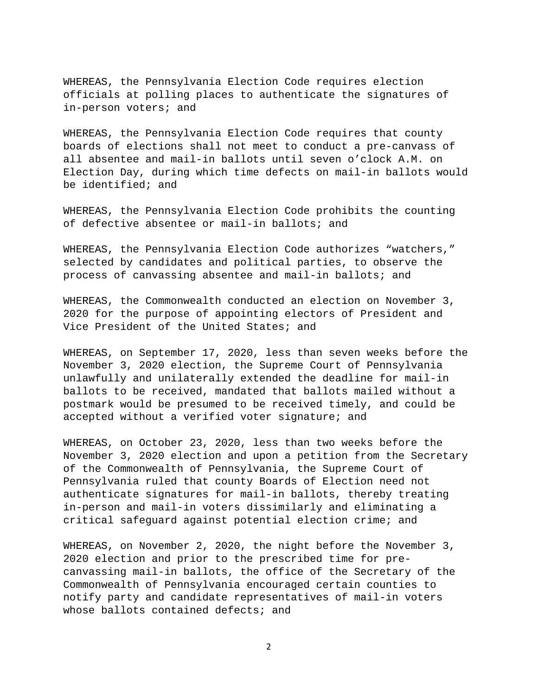WHEREAS, the Pennsylvania Election Code requires election officials at polling places to authenticate the signatures of in-person voters; and

WHEREAS, the Pennsylvania Election Code requires that county boards of elections shall not meet to conduct a pre-canvass of all absentee and mail-in ballots until seven o'clock A.M. on Election Day, during which time defects on mail-in ballots would be identified; and

WHEREAS, the Pennsylvania Election Code prohibits the counting of defective absentee or mail-in ballots; and

WHEREAS, the Pennsylvania Election Code authorizes "watchers," selected by candidates and political parties, to observe the process of canvassing absentee and mail-in ballots; and

WHEREAS, the Commonwealth conducted an election on November 3, 2020 for the purpose of appointing electors of President and Vice President of the United States; and

WHEREAS, on September 17, 2020, less than seven weeks before the November 3, 2020 election, the Supreme Court of Pennsylvania unlawfully and unilaterally extended the deadline for mail-in ballots to be received, mandated that ballots mailed without a postmark would be presumed to be received timely, and could be accepted without a verified voter signature; and

WHEREAS, on October 23, 2020, less than two weeks before the November 3, 2020 election and upon a petition from the Secretary of the Commonwealth of Pennsylvania, the Supreme Court of Pennsylvania ruled that county Boards of Election need not authenticate signatures for mail-in ballots, thereby treating in-person and mail-in voters dissimilarly and eliminating a critical safeguard against potential election crime; and

WHEREAS, on November 2, 2020, the night before the November 3, 2020 election and prior to the prescribed time for precanvassing mail-in ballots, the office of the Secretary of the Commonwealth of Pennsylvania encouraged certain counties to notify party and candidate representatives of mail-in voters whose ballots contained defects; and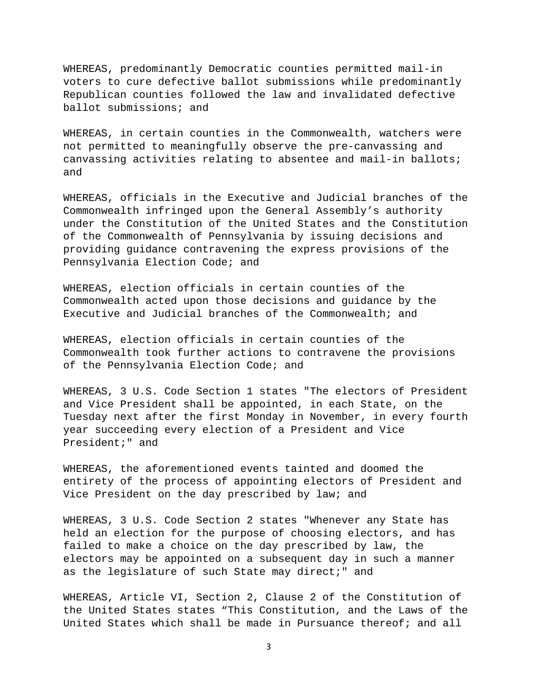WHEREAS, predominantly Democratic counties permitted mail-in voters to cure defective ballot submissions while predominantly Republican counties followed the law and invalidated defective ballot submissions; and

WHEREAS, in certain counties in the Commonwealth, watchers were not permitted to meaningfully observe the pre-canvassing and canvassing activities relating to absentee and mail-in ballots; and

WHEREAS, officials in the Executive and Judicial branches of the Commonwealth infringed upon the General Assembly's authority under the Constitution of the United States and the Constitution of the Commonwealth of Pennsylvania by issuing decisions and providing guidance contravening the express provisions of the Pennsylvania Election Code; and

WHEREAS, election officials in certain counties of the Commonwealth acted upon those decisions and guidance by the Executive and Judicial branches of the Commonwealth; and

WHEREAS, election officials in certain counties of the Commonwealth took further actions to contravene the provisions of the Pennsylvania Election Code; and

WHEREAS, 3 U.S. Code Section 1 states "The electors of President and Vice President shall be appointed, in each State, on the Tuesday next after the first Monday in November, in every fourth year succeeding every election of a President and Vice President;" and

WHEREAS, the aforementioned events tainted and doomed the entirety of the process of appointing electors of President and Vice President on the day prescribed by law; and

WHEREAS, 3 U.S. Code Section 2 states "Whenever any State has held an election for the purpose of choosing electors, and has failed to make a choice on the day prescribed by law, the electors may be appointed on a subsequent day in such a manner as the legislature of such State may direct;" and

WHEREAS, Article VI, Section 2, Clause 2 of the Constitution of the United States states "This Constitution, and the Laws of the United States which shall be made in Pursuance thereof; and all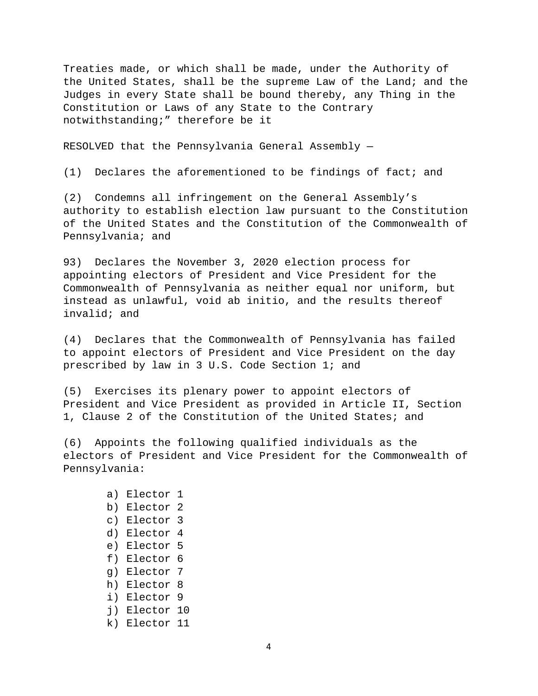Treaties made, or which shall be made, under the Authority of the United States, shall be the supreme Law of the Land; and the Judges in every State shall be bound thereby, any Thing in the Constitution or Laws of any State to the Contrary notwithstanding;" therefore be it

RESOLVED that the Pennsylvania General Assembly —

(1) Declares the aforementioned to be findings of fact; and

(2) Condemns all infringement on the General Assembly's authority to establish election law pursuant to the Constitution of the United States and the Constitution of the Commonwealth of Pennsylvania; and

93) Declares the November 3, 2020 election process for appointing electors of President and Vice President for the Commonwealth of Pennsylvania as neither equal nor uniform, but instead as unlawful, void ab initio, and the results thereof invalid; and

(4) Declares that the Commonwealth of Pennsylvania has failed to appoint electors of President and Vice President on the day prescribed by law in 3 U.S. Code Section 1; and

(5) Exercises its plenary power to appoint electors of President and Vice President as provided in Article II, Section 1, Clause 2 of the Constitution of the United States; and

(6) Appoints the following qualified individuals as the electors of President and Vice President for the Commonwealth of Pennsylvania:

> a) Elector 1 b) Elector 2 c) Elector 3 d) Elector 4 e) Elector 5 f) Elector 6 g) Elector 7 h) Elector 8 i) Elector 9 j) Elector 10 k) Elector 11